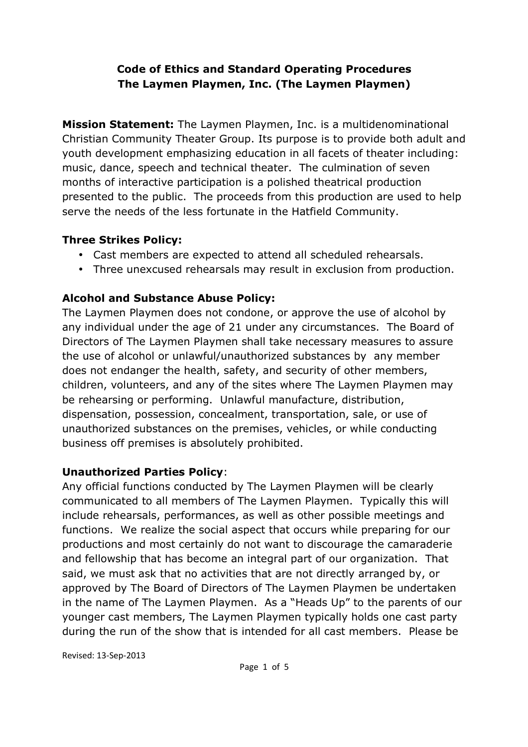## **Code of Ethics and Standard Operating Procedures The Laymen Playmen, Inc. (The Laymen Playmen)**

**Mission Statement:** The Laymen Playmen, Inc. is a multidenominational Christian Community Theater Group. Its purpose is to provide both adult and youth development emphasizing education in all facets of theater including: music, dance, speech and technical theater. The culmination of seven months of interactive participation is a polished theatrical production presented to the public. The proceeds from this production are used to help serve the needs of the less fortunate in the Hatfield Community.

### **Three Strikes Policy:**

- Cast members are expected to attend all scheduled rehearsals.
- Three unexcused rehearsals may result in exclusion from production.

# **Alcohol and Substance Abuse Policy:**

The Laymen Playmen does not condone, or approve the use of alcohol by any individual under the age of 21 under any circumstances. The Board of Directors of The Laymen Playmen shall take necessary measures to assure the use of alcohol or unlawful/unauthorized substances by any member does not endanger the health, safety, and security of other members, children, volunteers, and any of the sites where The Laymen Playmen may be rehearsing or performing. Unlawful manufacture, distribution, dispensation, possession, concealment, transportation, sale, or use of unauthorized substances on the premises, vehicles, or while conducting business off premises is absolutely prohibited.

## **Unauthorized Parties Policy**:

Any official functions conducted by The Laymen Playmen will be clearly communicated to all members of The Laymen Playmen. Typically this will include rehearsals, performances, as well as other possible meetings and functions. We realize the social aspect that occurs while preparing for our productions and most certainly do not want to discourage the camaraderie and fellowship that has become an integral part of our organization. That said, we must ask that no activities that are not directly arranged by, or approved by The Board of Directors of The Laymen Playmen be undertaken in the name of The Laymen Playmen. As a "Heads Up" to the parents of our younger cast members, The Laymen Playmen typically holds one cast party during the run of the show that is intended for all cast members. Please be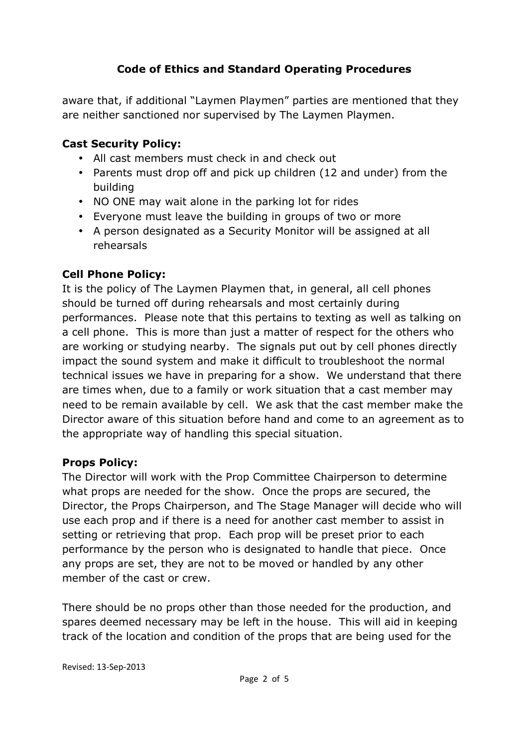aware that, if additional "Laymen Playmen" parties are mentioned that they are neither sanctioned nor supervised by The Laymen Playmen.

## **Cast Security Policy:**

- All cast members must check in and check out
- Parents must drop off and pick up children (12 and under) from the building
- NO ONE may wait alone in the parking lot for rides
- Everyone must leave the building in groups of two or more
- A person designated as a Security Monitor will be assigned at all rehearsals

## **Cell Phone Policy:**

It is the policy of The Laymen Playmen that, in general, all cell phones should be turned off during rehearsals and most certainly during performances. Please note that this pertains to texting as well as talking on a cell phone. This is more than just a matter of respect for the others who are working or studying nearby. The signals put out by cell phones directly impact the sound system and make it difficult to troubleshoot the normal technical issues we have in preparing for a show. We understand that there are times when, due to a family or work situation that a cast member may need to be remain available by cell. We ask that the cast member make the Director aware of this situation before hand and come to an agreement as to the appropriate way of handling this special situation.

### **Props Policy:**

The Director will work with the Prop Committee Chairperson to determine what props are needed for the show. Once the props are secured, the Director, the Props Chairperson, and The Stage Manager will decide who will use each prop and if there is a need for another cast member to assist in setting or retrieving that prop. Each prop will be preset prior to each performance by the person who is designated to handle that piece. Once any props are set, they are not to be moved or handled by any other member of the cast or crew.

There should be no props other than those needed for the production, and spares deemed necessary may be left in the house. This will aid in keeping track of the location and condition of the props that are being used for the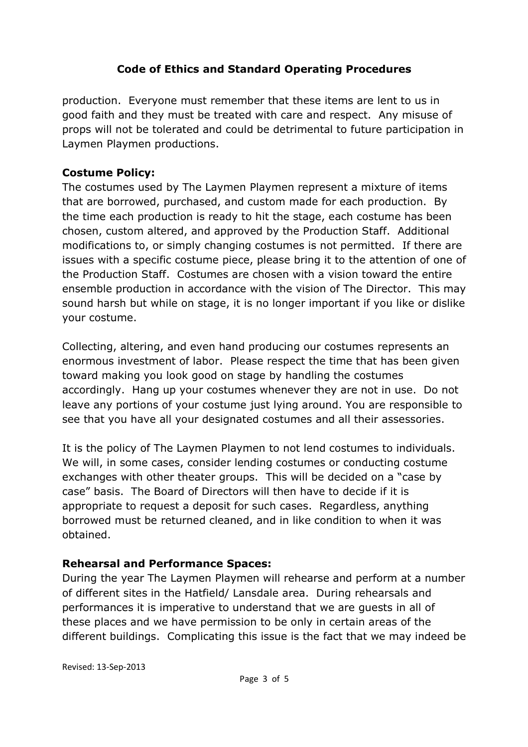production. Everyone must remember that these items are lent to us in good faith and they must be treated with care and respect. Any misuse of props will not be tolerated and could be detrimental to future participation in Laymen Playmen productions.

### **Costume Policy:**

The costumes used by The Laymen Playmen represent a mixture of items that are borrowed, purchased, and custom made for each production. By the time each production is ready to hit the stage, each costume has been chosen, custom altered, and approved by the Production Staff. Additional modifications to, or simply changing costumes is not permitted. If there are issues with a specific costume piece, please bring it to the attention of one of the Production Staff. Costumes are chosen with a vision toward the entire ensemble production in accordance with the vision of The Director. This may sound harsh but while on stage, it is no longer important if you like or dislike your costume.

Collecting, altering, and even hand producing our costumes represents an enormous investment of labor. Please respect the time that has been given toward making you look good on stage by handling the costumes accordingly. Hang up your costumes whenever they are not in use. Do not leave any portions of your costume just lying around. You are responsible to see that you have all your designated costumes and all their assessories.

It is the policy of The Laymen Playmen to not lend costumes to individuals. We will, in some cases, consider lending costumes or conducting costume exchanges with other theater groups. This will be decided on a "case by case" basis. The Board of Directors will then have to decide if it is appropriate to request a deposit for such cases. Regardless, anything borrowed must be returned cleaned, and in like condition to when it was obtained.

### **Rehearsal and Performance Spaces:**

During the year The Laymen Playmen will rehearse and perform at a number of different sites in the Hatfield/ Lansdale area. During rehearsals and performances it is imperative to understand that we are guests in all of these places and we have permission to be only in certain areas of the different buildings. Complicating this issue is the fact that we may indeed be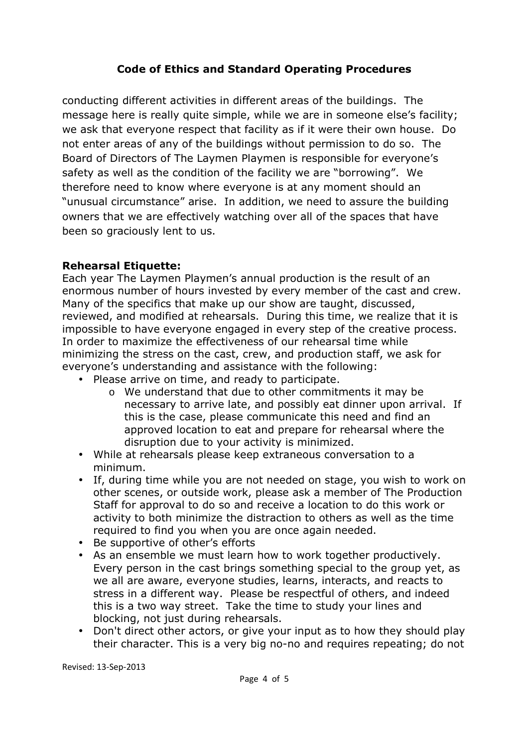conducting different activities in different areas of the buildings. The message here is really quite simple, while we are in someone else's facility; we ask that everyone respect that facility as if it were their own house. Do not enter areas of any of the buildings without permission to do so. The Board of Directors of The Laymen Playmen is responsible for everyone's safety as well as the condition of the facility we are "borrowing". We therefore need to know where everyone is at any moment should an "unusual circumstance" arise. In addition, we need to assure the building owners that we are effectively watching over all of the spaces that have been so graciously lent to us.

#### **Rehearsal Etiquette:**

Each year The Laymen Playmen's annual production is the result of an enormous number of hours invested by every member of the cast and crew. Many of the specifics that make up our show are taught, discussed, reviewed, and modified at rehearsals. During this time, we realize that it is impossible to have everyone engaged in every step of the creative process. In order to maximize the effectiveness of our rehearsal time while minimizing the stress on the cast, crew, and production staff, we ask for everyone's understanding and assistance with the following:

- Please arrive on time, and ready to participate.
	- o We understand that due to other commitments it may be necessary to arrive late, and possibly eat dinner upon arrival. If this is the case, please communicate this need and find an approved location to eat and prepare for rehearsal where the disruption due to your activity is minimized.
- While at rehearsals please keep extraneous conversation to a minimum.
- If, during time while you are not needed on stage, you wish to work on other scenes, or outside work, please ask a member of The Production Staff for approval to do so and receive a location to do this work or activity to both minimize the distraction to others as well as the time required to find you when you are once again needed.
- Be supportive of other's efforts
- As an ensemble we must learn how to work together productively. Every person in the cast brings something special to the group yet, as we all are aware, everyone studies, learns, interacts, and reacts to stress in a different way. Please be respectful of others, and indeed this is a two way street. Take the time to study your lines and blocking, not just during rehearsals.
- Don't direct other actors, or give your input as to how they should play their character. This is a very big no-no and requires repeating; do not